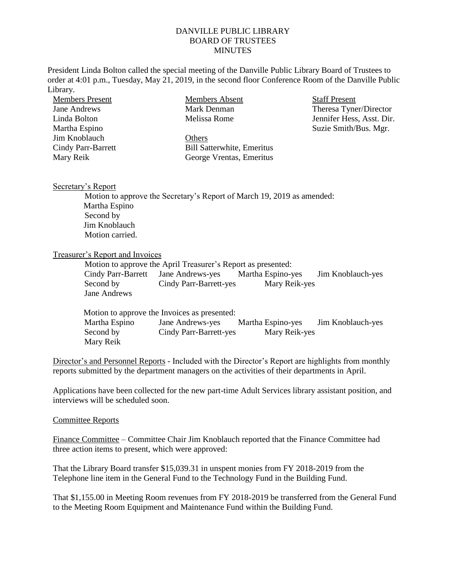## DANVILLE PUBLIC LIBRARY BOARD OF TRUSTEES **MINUTES**

President Linda Bolton called the special meeting of the Danville Public Library Board of Trustees to order at 4:01 p.m., Tuesday, May 21, 2019, in the second floor Conference Room of the Danville Public Library.

| <b>Members Present</b>    | Members Absent                    | <b>Staff Present</b>      |
|---------------------------|-----------------------------------|---------------------------|
| Jane Andrews              | Mark Denman                       | Theresa Tyner/Director    |
| Linda Bolton              | Melissa Rome                      | Jennifer Hess, Asst. Dir. |
| Martha Espino             |                                   | Suzie Smith/Bus. Mgr.     |
| Jim Knoblauch             | Others                            |                           |
| <b>Cindy Parr-Barrett</b> | <b>Bill Satterwhite, Emeritus</b> |                           |
| Mary Reik                 | George Vrentas, Emeritus          |                           |
|                           |                                   |                           |

## Secretary's Report

Motion to approve the Secretary's Report of March 19, 2019 as amended: Martha Espino Second by Jim Knoblauch Motion carried.

## Treasurer's Report and Invoices

Motion to approve the April Treasurer's Report as presented: Cindy Parr-Barrett Jane Andrews-yes Martha Espino-yes Jim Knoblauch-yes Second by Cindy Parr-Barrett-yes Mary Reik-yes Jane Andrews

|               | Motion to approve the Invoices as presented: |                   |                   |
|---------------|----------------------------------------------|-------------------|-------------------|
| Martha Espino | Jane Andrews-yes                             | Martha Espino-yes | Jim Knoblauch-yes |
| Second by     | Cindy Parr-Barrett-yes                       | Mary Reik-yes     |                   |
| Mary Reik     |                                              |                   |                   |

Director's and Personnel Reports - Included with the Director's Report are highlights from monthly reports submitted by the department managers on the activities of their departments in April.

Applications have been collected for the new part-time Adult Services library assistant position, and interviews will be scheduled soon.

## Committee Reports

Finance Committee – Committee Chair Jim Knoblauch reported that the Finance Committee had three action items to present, which were approved:

That the Library Board transfer \$15,039.31 in unspent monies from FY 2018-2019 from the Telephone line item in the General Fund to the Technology Fund in the Building Fund.

That \$1,155.00 in Meeting Room revenues from FY 2018-2019 be transferred from the General Fund to the Meeting Room Equipment and Maintenance Fund within the Building Fund.